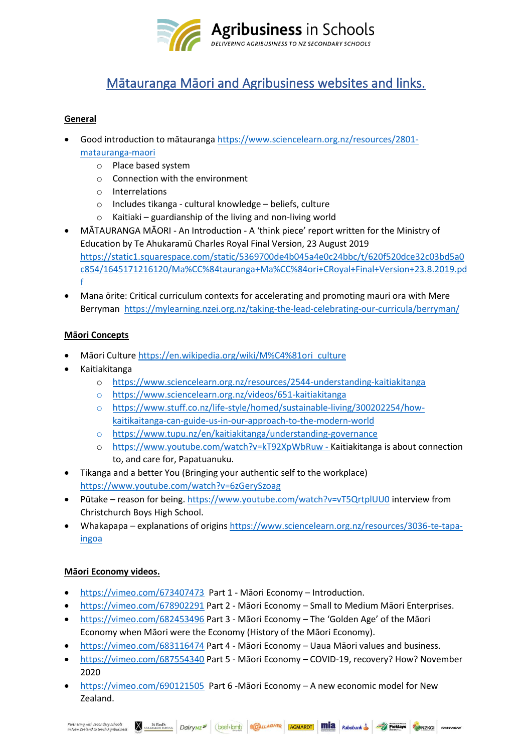

# Mātauranga Māori and Agribusiness websites and links.

# **General**

- Good introduction to mātauranga [https://www.sciencelearn.org.nz/resources/2801](https://www.sciencelearn.org.nz/resources/2801-matauranga-maori) [matauranga-maori](https://www.sciencelearn.org.nz/resources/2801-matauranga-maori)
	- o Place based system
	- o Connection with the environment
	- o Interrelations
	- o Includes tikanga cultural knowledge beliefs, culture
	- $\circ$  Kaitiaki guardianship of the living and non-living world
- MĀTAURANGA MĀORI An Introduction A 'think piece' report written for the Ministry of Education by Te Ahukaramū Charles Royal Final Version, 23 August 2019 [https://static1.squarespace.com/static/5369700de4b045a4e0c24bbc/t/620f520dce32c03bd5a0](https://static1.squarespace.com/static/5369700de4b045a4e0c24bbc/t/620f520dce32c03bd5a0c854/1645171216120/Ma%CC%84tauranga+Ma%CC%84ori+CRoyal+Final+Version+23.8.2019.pdf) [c854/1645171216120/Ma%CC%84tauranga+Ma%CC%84ori+CRoyal+Final+Version+23.8.2019.pd](https://static1.squarespace.com/static/5369700de4b045a4e0c24bbc/t/620f520dce32c03bd5a0c854/1645171216120/Ma%CC%84tauranga+Ma%CC%84ori+CRoyal+Final+Version+23.8.2019.pdf) [f](https://static1.squarespace.com/static/5369700de4b045a4e0c24bbc/t/620f520dce32c03bd5a0c854/1645171216120/Ma%CC%84tauranga+Ma%CC%84ori+CRoyal+Final+Version+23.8.2019.pdf)
- [Mana ōrite: Critical curriculum contexts for accelerating and promoting mauri ora](https://mylearning.nzei.org.nz/taking-the-lead-celebrating-our-curricula/berryman/) with Mere Berryman <https://mylearning.nzei.org.nz/taking-the-lead-celebrating-our-curricula/berryman/>

# **Māori Concepts**

- Māori Culture [https://en.wikipedia.org/wiki/M%C4%81ori\\_culture](https://en.wikipedia.org/wiki/M%C4%81ori_culture)
- Kaitiakitanga
	- o <https://www.sciencelearn.org.nz/resources/2544-understanding-kaitiakitanga>
	- o <https://www.sciencelearn.org.nz/videos/651-kaitiakitanga>
	- o [https://www.stuff.co.nz/life-style/homed/sustainable-living/300202254/how](https://www.stuff.co.nz/life-style/homed/sustainable-living/300202254/how-kaitikaitanga-can-guide-us-in-our-approach-to-the-modern-world)[kaitikaitanga-can-guide-us-in-our-approach-to-the-modern-world](https://www.stuff.co.nz/life-style/homed/sustainable-living/300202254/how-kaitikaitanga-can-guide-us-in-our-approach-to-the-modern-world)
	- o <https://www.tupu.nz/en/kaitiakitanga/understanding-governance>
	- o <https://www.youtube.com/watch?v=kT92XpWbRuw> Kaitiakitanga is about connection to, and care for, Papatuanuku.
- Tikanga and a better You (Bringing your authentic self to the workplace) <https://www.youtube.com/watch?v=6zGerySzoag>
- Pūtake reason for being.<https://www.youtube.com/watch?v=vT5QrtplUU0> interview from Christchurch Boys High School.
- Whakapapa explanations of origins [https://www.sciencelearn.org.nz/resources/3036-te-tapa](https://www.sciencelearn.org.nz/resources/3036-te-tapa-ingoa)[ingoa](https://www.sciencelearn.org.nz/resources/3036-te-tapa-ingoa)

# **Māori Economy videos.**

- <https://vimeo.com/673407473> Part 1 Māori Economy Introduction.
- <https://vimeo.com/678902291> Part 2 Māori Economy Small to Medium Māori Enterprises.
- <https://vimeo.com/682453496> Part 3 Māori Economy The 'Golden Age' of the Māori Economy when Māori were the Economy (History of the Māori Economy).
- <https://vimeo.com/683116474> Part 4 Māori Economy Uaua Māori values and business.
- <https://vimeo.com/687554340> Part 5 Māori Economy COVID-19, recovery? How? November 2020
- <https://vimeo.com/690121505> Part 6 -Māori Economy A new economic model for New Zealand.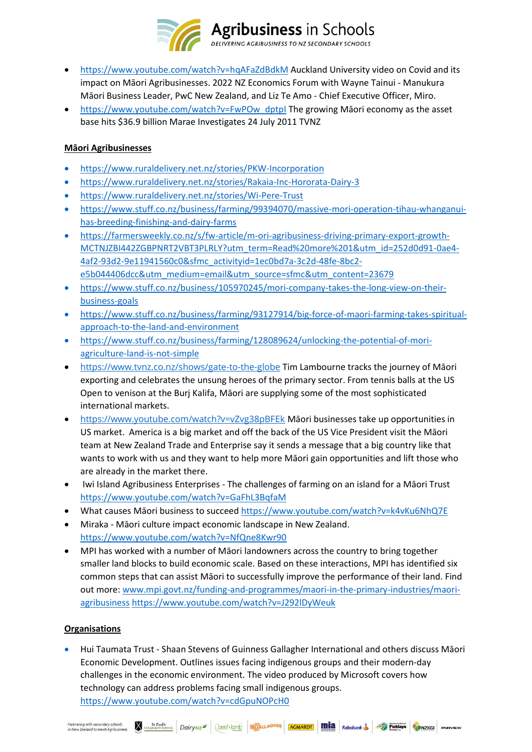

- <https://www.youtube.com/watch?v=hqAFaZdBdkM> Auckland University video on Covid and its impact on Māori Agribusinesses. 2022 NZ Economics Forum with Wayne Tainui - Manukura Māori Business Leader, PwC New Zealand, and Liz Te Amo - Chief Executive Officer, Miro.
- https://www.youtube.com/watch?v=FwPOw\_dptpl The growing Māori economy as the asset base hits \$36.9 billion Marae Investigates 24 July 2011 TVNZ

## **Māori Agribusinesses**

- <https://www.ruraldelivery.net.nz/stories/PKW-Incorporation>
- <https://www.ruraldelivery.net.nz/stories/Rakaia-Inc-Hororata-Dairy-3>
- <https://www.ruraldelivery.net.nz/stories/Wi-Pere-Trust>
- [https://www.stuff.co.nz/business/farming/99394070/massive-mori-operation-tihau-whanganui](https://www.stuff.co.nz/business/farming/99394070/massive-mori-operation-tihau-whanganui-has-breeding-finishing-and-dairy-farms)[has-breeding-finishing-and-dairy-farms](https://www.stuff.co.nz/business/farming/99394070/massive-mori-operation-tihau-whanganui-has-breeding-finishing-and-dairy-farms)
- [https://farmersweekly.co.nz/s/fw-article/m-ori-agribusiness-driving-primary-export-growth-](https://farmersweekly.co.nz/s/fw-article/m-ori-agribusiness-driving-primary-export-growth-MCTNJZBI442ZGBPNRT2VBT3PLRLY?utm_term=Read%20more%201&utm_id=252d0d91-0ae4-4af2-93d2-9e11941560c0&sfmc_activityid=1ec0bd7a-3c2d-48fe-8bc2-e5b044406dcc&utm_medium=email&utm_source=sfmc&utm_content=23679)[MCTNJZBI442ZGBPNRT2VBT3PLRLY?utm\\_term=Read%20more%201&utm\\_id=252d0d91-0ae4-](https://farmersweekly.co.nz/s/fw-article/m-ori-agribusiness-driving-primary-export-growth-MCTNJZBI442ZGBPNRT2VBT3PLRLY?utm_term=Read%20more%201&utm_id=252d0d91-0ae4-4af2-93d2-9e11941560c0&sfmc_activityid=1ec0bd7a-3c2d-48fe-8bc2-e5b044406dcc&utm_medium=email&utm_source=sfmc&utm_content=23679) [4af2-93d2-9e11941560c0&sfmc\\_activityid=1ec0bd7a-3c2d-48fe-8bc2](https://farmersweekly.co.nz/s/fw-article/m-ori-agribusiness-driving-primary-export-growth-MCTNJZBI442ZGBPNRT2VBT3PLRLY?utm_term=Read%20more%201&utm_id=252d0d91-0ae4-4af2-93d2-9e11941560c0&sfmc_activityid=1ec0bd7a-3c2d-48fe-8bc2-e5b044406dcc&utm_medium=email&utm_source=sfmc&utm_content=23679) [e5b044406dcc&utm\\_medium=email&utm\\_source=sfmc&utm\\_content=23679](https://farmersweekly.co.nz/s/fw-article/m-ori-agribusiness-driving-primary-export-growth-MCTNJZBI442ZGBPNRT2VBT3PLRLY?utm_term=Read%20more%201&utm_id=252d0d91-0ae4-4af2-93d2-9e11941560c0&sfmc_activityid=1ec0bd7a-3c2d-48fe-8bc2-e5b044406dcc&utm_medium=email&utm_source=sfmc&utm_content=23679)
- [https://www.stuff.co.nz/business/105970245/mori-company-takes-the-long-view-on-their](https://www.stuff.co.nz/business/105970245/mori-company-takes-the-long-view-on-their-business-goals)[business-goals](https://www.stuff.co.nz/business/105970245/mori-company-takes-the-long-view-on-their-business-goals)
- [https://www.stuff.co.nz/business/farming/93127914/big-force-of-maori-farming-takes-spiritual](https://www.stuff.co.nz/business/farming/93127914/big-force-of-maori-farming-takes-spiritual-approach-to-the-land-and-environment)[approach-to-the-land-and-environment](https://www.stuff.co.nz/business/farming/93127914/big-force-of-maori-farming-takes-spiritual-approach-to-the-land-and-environment)
- [https://www.stuff.co.nz/business/farming/128089624/unlocking-the-potential-of-mori](https://www.stuff.co.nz/business/farming/128089624/unlocking-the-potential-of-mori-agriculture-land-is-not-simple)[agriculture-land-is-not-simple](https://www.stuff.co.nz/business/farming/128089624/unlocking-the-potential-of-mori-agriculture-land-is-not-simple)
- <https://www.tvnz.co.nz/shows/gate-to-the-globe> Tim Lambourne tracks the journey of Māori exporting and celebrates the unsung heroes of the primary sector. From tennis balls at the US Open to venison at the Burj Kalifa, Māori are supplying some of the most sophisticated international markets.
- <https://www.youtube.com/watch?v=vZvg38pBFEk> Māori businesses take up opportunities in US market. America is a big market and off the back of the US Vice President visit the Māori team at New Zealand Trade and Enterprise say it sends a message that a big country like that wants to work with us and they want to help more Māori gain opportunities and lift those who are already in the market there.
- Iwi Island Agribusiness Enterprises The challenges of farming on an island for a Māori Trust <https://www.youtube.com/watch?v=GaFhL3BqfaM>
- What causes Māori business to succeed <https://www.youtube.com/watch?v=k4vKu6NhQ7E>
- Miraka Māori culture impact economic landscape in New Zealand. <https://www.youtube.com/watch?v=NfQne8Kwr90>
- MPI has worked with a number of Māori landowners across the country to bring together smaller land blocks to build economic scale. Based on these interactions, MPI has identified six common steps that can assist Māori to successfully improve the performance of their land. Find out more: [www.mpi.govt.nz/funding-and-programmes/maori-in-the-primary-industries/maori](http://www.mpi.govt.nz/funding-and-programmes/maori-in-the-primary-industries/maori-agribusiness)[agribusiness](http://www.mpi.govt.nz/funding-and-programmes/maori-in-the-primary-industries/maori-agribusiness) <https://www.youtube.com/watch?v=J292lDyWeuk>

# **Organisations**

• Hui Taumata Trust - Shaan Stevens of Guinness Gallagher International and others discuss Māori Economic Development. Outlines issues facing indigenous groups and their modern-day challenges in the economic environment. The video produced by Microsoft covers how technology can address problems facing small indigenous groups. <https://www.youtube.com/watch?v=cdGpuNOPcH0>